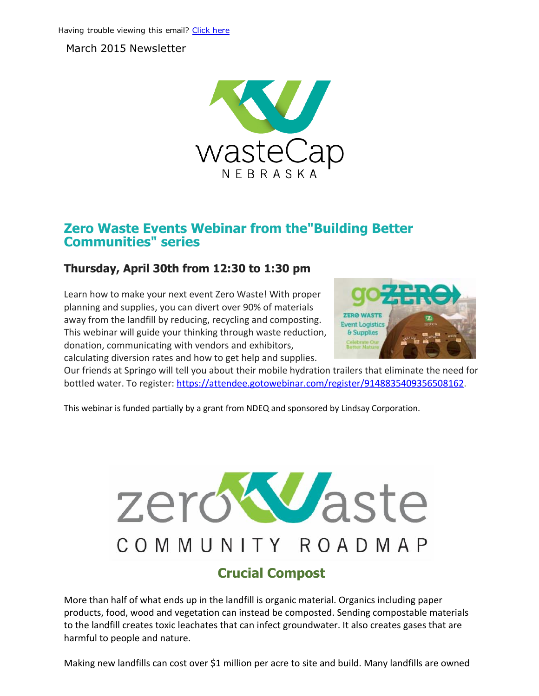March 2015 Newsletter



## Zero Waste Events Webinar from the"Building Better Communities" series

## Thursday, April 30th from 12:30 to 1:30 pm

Learn how to make your next event Zero Waste! With proper planning and supplies, you can divert over 90% of materials away from the landfill by reducing, recycling and composting. This webinar will guide your thinking through waste reduction, donation, communicating with vendors and exhibitors, calculating diversion rates and how to get help and supplies.



Our friends at Springo will tell you about their mobile hydration trailers that eliminate the need for bottled water. To register: [https://attendee.gotowebinar.com/register/9148835409356508162](http://r20.rs6.net/tn.jsp?e=001WZdOQ0qiP7XgitsIZxYcAdz7sN5qEaHTj_ultscVYantTVZPoNwTYO2yRrg-PNct8JtrLJmulxDY7ZeADpKHDF2z7c6vpINfVIpyljH1-eC5SPjkkaVQkA6bDMh6yKusmMowtoYMUAu2_90qilsjuePC209j-cIe).

This webinar is funded partially by a grant from NDEQ and sponsored by Lindsay Corporation.

# zeroWaste COMMUNITY ROADMAP

## Crucial Compost

More than half of what ends up in the landfill is organic material. Organics including paper products, food, wood and vegetation can instead be composted. Sending compostable materials to the landfill creates toxic leachates that can infect groundwater. It also creates gases that are harmful to people and nature.

Making new landfills can cost over \$1 million per acre to site and build. Many landfills are owned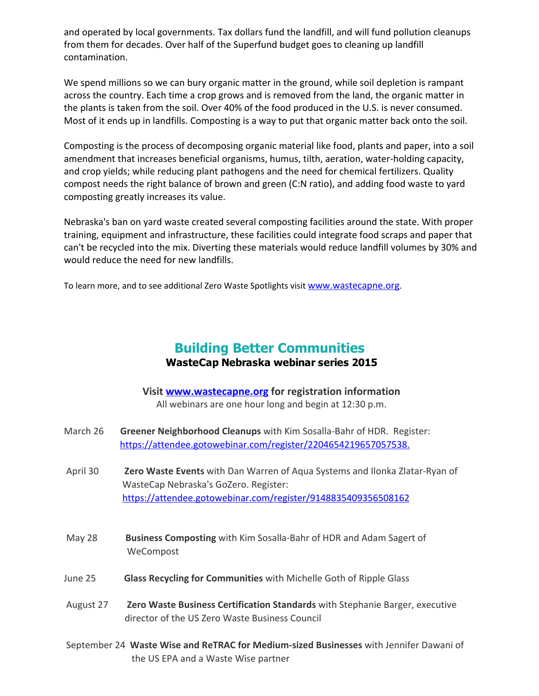and operated by local governments. Tax dollars fund the landfill, and will fund pollution cleanups from them for decades. Over half of the Superfund budget goes to cleaning up landfill contamination.

We spend millions so we can bury organic matter in the ground, while soil depletion is rampant across the country. Each time a crop grows and is removed from the land, the organic matter in the plants is taken from the soil. Over 40% of the food produced in the U.S. is never consumed. Most of it ends up in landfills. Composting is a way to put that organic matter back onto the soil.

Composting is the process of decomposing organic material like food, plants and paper, into a soil amendment that increases beneficial organisms, humus, tilth, aeration, water-holding capacity, and crop yields; while reducing plant pathogens and the need for chemical fertilizers. Quality compost needs the right balance of brown and green (C:N ratio), and adding food waste to yard composting greatly increases its value.

Nebraska's ban on yard waste created several composting facilities around the state. With proper training, equipment and infrastructure, these facilities could integrate food scraps and paper that can't be recycled into the mix. Diverting these materials would reduce landfill volumes by 30% and would reduce the need for new landfills.

To learn more, and to see additional Zero Waste Spotlights visit [www.wastecapne.org](http://r20.rs6.net/tn.jsp?e=001WZdOQ0qiP7XgitsIZxYcAdz7sN5qEaHTj_ultscVYantTVZPoNwTYO2yRrg-PNctDOehVlVHiKKGSbsLPglEctbq2BxkLGedLmt5lR9dkl4=).

## Building Better Communities WasteCap Nebraska webinar series 2015

| Visit <b>www.wastecapne.org</b> for registration information |
|--------------------------------------------------------------|
| All webinars are one hour long and begin at 12:30 p.m.       |

- March 26 Greener Neighborhood Cleanups with Kim Sosalla-Bahr of HDR. Register: [https://attendee.gotowebinar.com/register/2204654219657057538.](http://r20.rs6.net/tn.jsp?e=001WZdOQ0qiP7XgitsIZxYcAdz7sN5qEaHTj_ultscVYantTVZPoNwTYO2yRrg-PNct8JtrLJmulxDY7ZeADpKHDF2z7c6vpINfVIpyljH1-eC5SPjkkaVQkA6bDMh6yKusx34O9AHBo4mYsJWiFEF8d33M8S6PY8C-)
- April 30 Zero Waste Events with Dan Warren of Aqua Systems and Ilonka Zlatar-Ryan of WasteCap Nebraska's GoZero. Register: [https://attendee.gotowebinar.com/register/9148835409356508162](http://r20.rs6.net/tn.jsp?e=001WZdOQ0qiP7XgitsIZxYcAdz7sN5qEaHTj_ultscVYantTVZPoNwTYO2yRrg-PNct8JtrLJmulxDY7ZeADpKHDF2z7c6vpINfVIpyljH1-eC5SPjkkaVQkA6bDMh6yKusmMowtoYMUAu2_90qilsjuePC209j-cIe)
- May 28 Business Composting with Kim Sosalla-Bahr of HDR and Adam Sagert of WeCompost
- June 25 Glass Recycling for Communities with Michelle Goth of Ripple Glass
- August 27 **Zero Waste Business Certification Standards** with Stephanie Barger, executive director of the US Zero Waste Business Council
- September 24 Waste Wise and ReTRAC for Medium-sized Businesses with Jennifer Dawani of the US EPA and a Waste Wise partner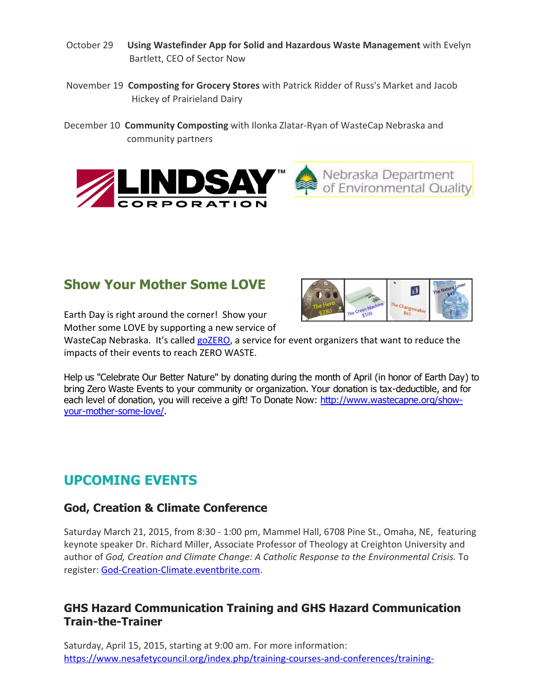- October 29 Using Wastefinder App for Solid and Hazardous Waste Management with Evelyn Bartlett, CEO of Sector Now
- November 19 Composting for Grocery Stores with Patrick Ridder of Russ's Market and Jacob Hickey of Prairieland Dairy
- December 10 Community Composting with Ilonka Zlatar-Ryan of WasteCap Nebraska and community partners



## Show Your Mother Some LOVE

Earth Day is right around the corner! Show your Mother some LOVE by supporting a new service of

WasteCap Nebraska. It's called [goZERO,](http://r20.rs6.net/tn.jsp?e=001WZdOQ0qiP7XgitsIZxYcAdz7sN5qEaHTj_ultscVYantTVZPoNwTYO2yRrg-PNctDOehVlVHiKKGSbsLPglEctbq2BxkLGedLiWtOtbxvrmt25fCtYtcHSNvl9_ceUNatyfAJOSdpu8=) a service for event organizers that want to reduce the impacts of their events to reach ZERO WASTE.

 $|\hat{\mathbf{f}}|$ 

Help us "Celebrate Our Better Nature" by donating during the month of April (in honor of Earth Day) to bring Zero Waste Events to your community or organization. Your donation is tax-deductible, and for each level of donation, you will receive a gift! To Donate Now: [http://www.wastecapne.org/show](http://r20.rs6.net/tn.jsp?e=001WZdOQ0qiP7XgitsIZxYcAdz7sN5qEaHTj_ultscVYantTVZPoNwTYO2yRrg-PNctDOehVlVHiKKGSbsLPglEctbq2BxkLGed209Q_z6sAOZJf_SYB99ta5Fp4sBwK2_GglFKm4IjxrsRnLoXClduQg==)your-mother-some-love/.

## UPCOMING EVENTS

## God, Creation & Climate Conference

Saturday March 21, 2015, from 8:30 ‐ 1:00 pm, Mammel Hall, 6708 Pine St., Omaha, NE, featuring keynote speaker Dr. Richard Miller, Associate Professor of Theology at Creighton University and author of *God, Creation and Climate Change: A Catholic Response to the Environmental Crisis.* To register: [God‐Creation‐Climate.eventbrite.com.](http://r20.rs6.net/tn.jsp?e=001WZdOQ0qiP7XgitsIZxYcAdz7sN5qEaHTj_ultscVYantTVZPoNwTYO2yRrg-PNctDOehVlVHiKIL5hLSskElMHA7GOW2Bttjn8YPJVbYhxMlCGX3CRoIjjT1tns1rybn)

## GHS Hazard Communication Training and GHS Hazard Communication Train-the-Trainer

Saturday, April 15, 2015, starting at 9:00 am. For more information: https://www.nesafetycouncil.org/index.php/training-courses-and-conferences/training